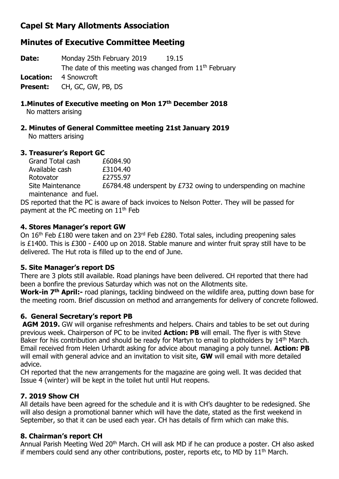# **Capel St Mary Allotments Association**

# **Minutes of Executive Committee Meeting**

**Date:** Monday 25th February 2019 19.15 The date of this meeting was changed from 11<sup>th</sup> February **Location:** 4 Snowcroft **Present:** CH, GC, GW, PB, DS

#### **1.Minutes of Executive meeting on Mon 17th December 2018**

No matters arising

# **2. Minutes of General Committee meeting 21st January 2019**

No matters arising

#### **3. Treasurer's Report GC**

Grand Total cash £6084.90 Available cash £3104.40 Rotovator **£2755.97** Site Maintenance E6784.48 underspent by £732 owing to underspending on machine

 maintenance and fuel. DS reported that the PC is aware of back invoices to Nelson Potter. They will be passed for

payment at the PC meeting on  $11<sup>th</sup>$  Feb

## **4. Stores Manager's report GW**

On 16<sup>th</sup> Feb £180 were taken and on 23<sup>rd</sup> Feb £280. Total sales, including preopening sales is £1400. This is £300 - £400 up on 2018. Stable manure and winter fruit spray still have to be delivered. The Hut rota is filled up to the end of June.

## **5. Site Manager's report DS**

There are 3 plots still available. Road planings have been delivered. CH reported that there had been a bonfire the previous Saturday which was not on the Allotments site.

**Work-in 7th April:-** road planings, tackling bindweed on the wildlife area, putting down base for the meeting room. Brief discussion on method and arrangements for delivery of concrete followed.

## **6. General Secretary's report PB**

**AGM 2019.** GW will organise refreshments and helpers. Chairs and tables to be set out during previous week. Chairperson of PC to be invited **Action: PB** will email. The flyer is with Steve Baker for his contribution and should be ready for Martyn to email to plotholders by 14<sup>th</sup> March. Email received from Helen Urhardt asking for advice about managing a poly tunnel. **Action: PB** will email with general advice and an invitation to visit site, **GW** will email with more detailed advice.

CH reported that the new arrangements for the magazine are going well. It was decided that Issue 4 (winter) will be kept in the toilet hut until Hut reopens.

# **7. 2019 Show CH**

All details have been agreed for the schedule and it is with CH's daughter to be redesigned. She will also design a promotional banner which will have the date, stated as the first weekend in September, so that it can be used each year. CH has details of firm which can make this.

## **8. Chairman's report CH**

Annual Parish Meeting Wed 20<sup>th</sup> March. CH will ask MD if he can produce a poster. CH also asked if members could send any other contributions, poster, reports etc, to MD by  $11<sup>th</sup>$  March.